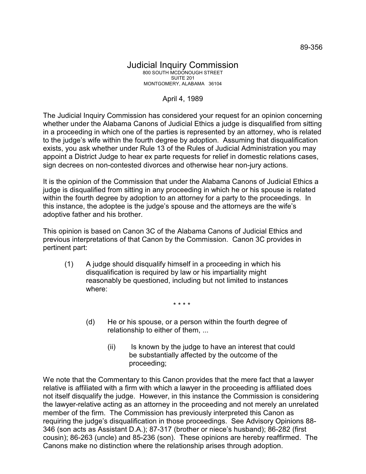## Judicial Inquiry Commission 800 SOUTH MCDONOUGH STREET SUITE 201 MONTGOMERY, ALABAMA 36104

## April 4, 1989

The Judicial Inquiry Commission has considered your request for an opinion concerning whether under the Alabama Canons of Judicial Ethics a judge is disqualified from sitting in a proceeding in which one of the parties is represented by an attorney, who is related to the judge's wife within the fourth degree by adoption. Assuming that disqualification exists, you ask whether under Rule 13 of the Rules of Judicial Administration you may appoint a District Judge to hear ex parte requests for relief in domestic relations cases, sign decrees on non-contested divorces and otherwise hear non-jury actions.

It is the opinion of the Commission that under the Alabama Canons of Judicial Ethics a judge is disqualified from sitting in any proceeding in which he or his spouse is related within the fourth degree by adoption to an attorney for a party to the proceedings. In this instance, the adoptee is the judge's spouse and the attorneys are the wife's adoptive father and his brother.

This opinion is based on Canon 3C of the Alabama Canons of Judicial Ethics and previous interpretations of that Canon by the Commission. Canon 3C provides in pertinent part:

(1) A judge should disqualify himself in a proceeding in which his disqualification is required by law or his impartiality might reasonably be questioned, including but not limited to instances where:

\* \* \* \*

- (d) He or his spouse, or a person within the fourth degree of relationship to either of them, ...
	- (ii) Is known by the judge to have an interest that could be substantially affected by the outcome of the proceeding;

We note that the Commentary to this Canon provides that the mere fact that a lawyer relative is affiliated with a firm with which a lawyer in the proceeding is affiliated does not itself disqualify the judge. However, in this instance the Commission is considering the lawyer-relative acting as an attorney in the proceeding and not merely an unrelated member of the firm. The Commission has previously interpreted this Canon as requiring the judge's disqualification in those proceedings. See Advisory Opinions 88- 346 (son acts as Assistant D.A.); 87-317 (brother or niece's husband); 86-282 (first cousin); 86-263 (uncle) and 85-236 (son). These opinions are hereby reaffirmed. The Canons make no distinction where the relationship arises through adoption.